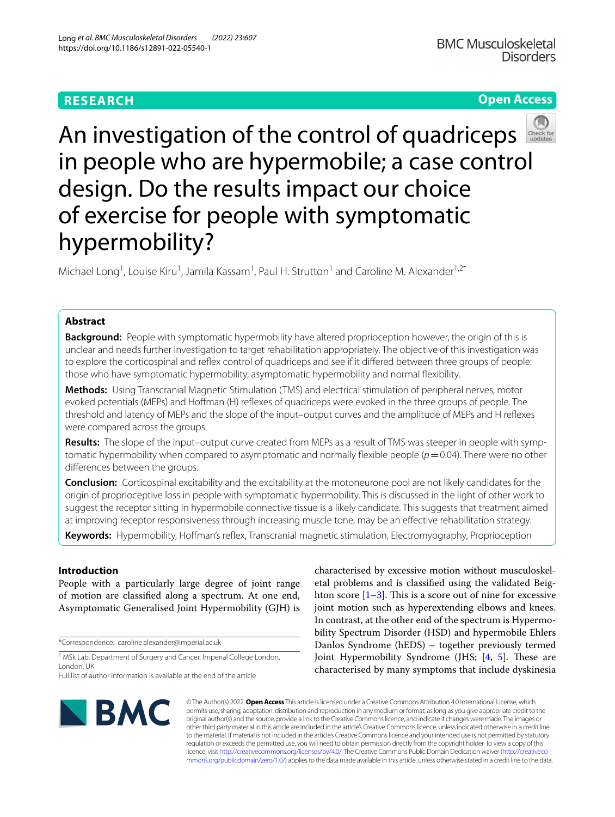# **RESEARCH**

# **Open Access**



An investigation of the control of quadriceps in people who are hypermobile; a case control design. Do the results impact our choice of exercise for people with symptomatic hypermobility?

Michael Long<sup>1</sup>, Louise Kiru<sup>1</sup>, Jamila Kassam<sup>1</sup>, Paul H. Strutton<sup>1</sup> and Caroline M. Alexander<sup>1,2\*</sup>

# **Abstract**

**Background:** People with symptomatic hypermobility have altered proprioception however, the origin of this is unclear and needs further investigation to target rehabilitation appropriately. The objective of this investigation was to explore the corticospinal and refex control of quadriceps and see if it difered between three groups of people: those who have symptomatic hypermobility, asymptomatic hypermobility and normal fexibility.

**Methods:** Using Transcranial Magnetic Stimulation (TMS) and electrical stimulation of peripheral nerves, motor evoked potentials (MEPs) and Hofman (H) refexes of quadriceps were evoked in the three groups of people. The threshold and latency of MEPs and the slope of the input–output curves and the amplitude of MEPs and H refexes were compared across the groups.

**Results:** The slope of the input–output curve created from MEPs as a result of TMS was steeper in people with symptomatic hypermobility when compared to asymptomatic and normally flexible people ( $p=0.04$ ). There were no other diferences between the groups.

**Conclusion:** Corticospinal excitability and the excitability at the motoneurone pool are not likely candidates for the origin of proprioceptive loss in people with symptomatic hypermobility. This is discussed in the light of other work to suggest the receptor sitting in hypermobile connective tissue is a likely candidate. This suggests that treatment aimed at improving receptor responsiveness through increasing muscle tone, may be an efective rehabilitation strategy.

**Keywords:** Hypermobility, Hofman's refex, Transcranial magnetic stimulation, Electromyography, Proprioception

# **Introduction**

People with a particularly large degree of joint range of motion are classifed along a spectrum. At one end, Asymptomatic Generalised Joint Hypermobility (GJH) is

\*Correspondence: caroline.alexander@imperial.ac.uk

<sup>1</sup> MSk Lab, Department of Surgery and Cancer, Imperial College London, London, UK

Full list of author information is available at the end of the article

characterised by excessive motion without musculoskeletal problems and is classifed using the validated Beighton score  $[1-3]$  $[1-3]$ . This is a score out of nine for excessive joint motion such as hyperextending elbows and knees. In contrast, at the other end of the spectrum is Hypermobility Spectrum Disorder (HSD) and hypermobile Ehlers Danlos Syndrome (hEDS) – together previously termed Joint Hypermobility Syndrome (JHS;  $[4, 5]$  $[4, 5]$  $[4, 5]$  $[4, 5]$ . These are characterised by many symptoms that include dyskinesia



© The Author(s) 2022. **Open Access** This article is licensed under a Creative Commons Attribution 4.0 International License, which permits use, sharing, adaptation, distribution and reproduction in any medium or format, as long as you give appropriate credit to the original author(s) and the source, provide a link to the Creative Commons licence, and indicate if changes were made. The images or other third party material in this article are included in the article's Creative Commons licence, unless indicated otherwise in a credit line to the material. If material is not included in the article's Creative Commons licence and your intended use is not permitted by statutory regulation or exceeds the permitted use, you will need to obtain permission directly from the copyright holder. To view a copy of this licence, visit [http://creativecommons.org/licenses/by/4.0/.](http://creativecommons.org/licenses/by/4.0/) The Creative Commons Public Domain Dedication waiver ([http://creativeco](http://creativecommons.org/publicdomain/zero/1.0/) [mmons.org/publicdomain/zero/1.0/](http://creativecommons.org/publicdomain/zero/1.0/)) applies to the data made available in this article, unless otherwise stated in a credit line to the data.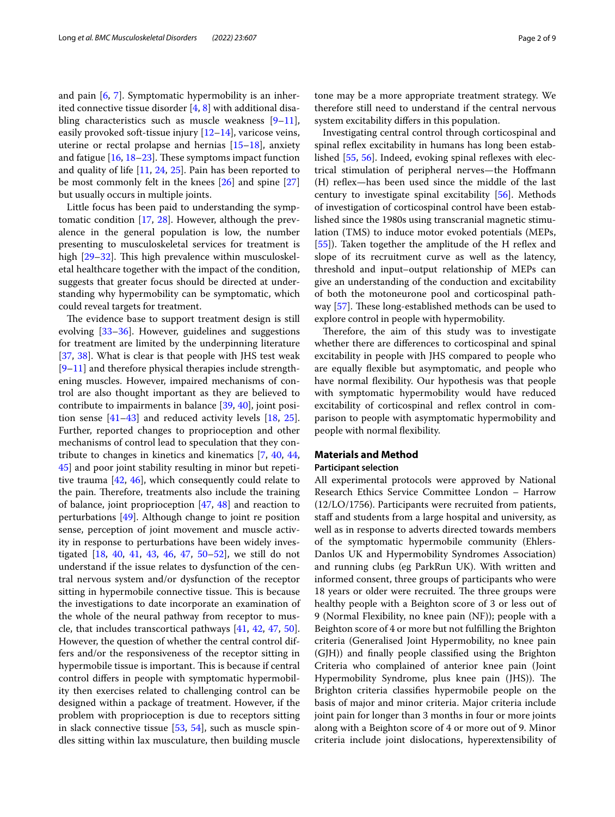and pain [[6,](#page-7-3) [7](#page-7-4)]. Symptomatic hypermobility is an inherited connective tissue disorder  $[4, 8]$  $[4, 8]$  $[4, 8]$  $[4, 8]$  with additional disabling characteristics such as muscle weakness  $[9-11]$  $[9-11]$ , easily provoked soft-tissue injury  $[12-14]$  $[12-14]$  $[12-14]$ , varicose veins, uterine or rectal prolapse and hernias [[15–](#page-7-10)[18](#page-7-11)], anxiety and fatigue  $[16, 18-23]$  $[16, 18-23]$  $[16, 18-23]$  $[16, 18-23]$ . These symptoms impact function and quality of life [\[11](#page-7-7), [24](#page-7-14), [25](#page-7-15)]. Pain has been reported to be most commonly felt in the knees [[26](#page-7-16)] and spine [[27](#page-7-17)] but usually occurs in multiple joints.

Little focus has been paid to understanding the symptomatic condition  $[17, 28]$  $[17, 28]$  $[17, 28]$  $[17, 28]$ . However, although the prevalence in the general population is low, the number presenting to musculoskeletal services for treatment is high [[29](#page-7-20)[–32](#page-7-21)]. This high prevalence within musculoskeletal healthcare together with the impact of the condition, suggests that greater focus should be directed at understanding why hypermobility can be symptomatic, which could reveal targets for treatment.

The evidence base to support treatment design is still evolving [[33–](#page-7-22)[36](#page-7-23)]. However, guidelines and suggestions for treatment are limited by the underpinning literature [[37,](#page-7-24) [38\]](#page-7-25). What is clear is that people with JHS test weak [[9–](#page-7-6)[11\]](#page-7-7) and therefore physical therapies include strengthening muscles. However, impaired mechanisms of control are also thought important as they are believed to contribute to impairments in balance [[39](#page-7-26), [40](#page-7-27)], joint position sense [\[41](#page-7-28)[–43](#page-7-29)] and reduced activity levels [\[18](#page-7-11), [25](#page-7-15)]. Further, reported changes to proprioception and other mechanisms of control lead to speculation that they contribute to changes in kinetics and kinematics [\[7](#page-7-4), [40,](#page-7-27) [44](#page-7-30), [45\]](#page-7-31) and poor joint stability resulting in minor but repetitive trauma [[42,](#page-7-32) [46](#page-7-33)], which consequently could relate to the pain. Therefore, treatments also include the training of balance, joint proprioception [\[47,](#page-7-34) [48](#page-7-35)] and reaction to perturbations [\[49\]](#page-7-36). Although change to joint re position sense, perception of joint movement and muscle activity in response to perturbations have been widely investigated [\[18](#page-7-11), [40,](#page-7-27) [41](#page-7-28), [43,](#page-7-29) [46](#page-7-33), [47,](#page-7-34) [50](#page-7-37)[–52\]](#page-7-38), we still do not understand if the issue relates to dysfunction of the central nervous system and/or dysfunction of the receptor sitting in hypermobile connective tissue. This is because the investigations to date incorporate an examination of the whole of the neural pathway from receptor to muscle, that includes transcortical pathways [\[41](#page-7-28), [42](#page-7-32), [47,](#page-7-34) [50](#page-7-37)]. However, the question of whether the central control differs and/or the responsiveness of the receptor sitting in hypermobile tissue is important. This is because if central control difers in people with symptomatic hypermobility then exercises related to challenging control can be designed within a package of treatment. However, if the problem with proprioception is due to receptors sitting in slack connective tissue [\[53](#page-7-39), [54\]](#page-8-0), such as muscle spindles sitting within lax musculature, then building muscle tone may be a more appropriate treatment strategy. We therefore still need to understand if the central nervous system excitability difers in this population.

Investigating central control through corticospinal and spinal reflex excitability in humans has long been estab-lished [\[55,](#page-8-1) [56\]](#page-8-2). Indeed, evoking spinal reflexes with electrical stimulation of peripheral nerves—the Hofmann (H) refex—has been used since the middle of the last century to investigate spinal excitability [\[56](#page-8-2)]. Methods of investigation of corticospinal control have been established since the 1980s using transcranial magnetic stimulation (TMS) to induce motor evoked potentials (MEPs, [[55\]](#page-8-1)). Taken together the amplitude of the H reflex and slope of its recruitment curve as well as the latency, threshold and input–output relationship of MEPs can give an understanding of the conduction and excitability of both the motoneurone pool and corticospinal pathway  $[57]$  $[57]$ . These long-established methods can be used to explore control in people with hypermobility.

Therefore, the aim of this study was to investigate whether there are diferences to corticospinal and spinal excitability in people with JHS compared to people who are equally flexible but asymptomatic, and people who have normal fexibility. Our hypothesis was that people with symptomatic hypermobility would have reduced excitability of corticospinal and reflex control in comparison to people with asymptomatic hypermobility and people with normal fexibility.

# **Materials and Method**

## **Participant selection**

All experimental protocols were approved by National Research Ethics Service Committee London – Harrow (12/LO/1756). Participants were recruited from patients, staff and students from a large hospital and university, as well as in response to adverts directed towards members of the symptomatic hypermobile community (Ehlers-Danlos UK and Hypermobility Syndromes Association) and running clubs (eg ParkRun UK). With written and informed consent, three groups of participants who were 18 years or older were recruited. The three groups were healthy people with a Beighton score of 3 or less out of 9 (Normal Flexibility, no knee pain (NF)); people with a Beighton score of 4 or more but not fulflling the Brighton criteria (Generalised Joint Hypermobility, no knee pain (GJH)) and fnally people classifed using the Brighton Criteria who complained of anterior knee pain (Joint Hypermobility Syndrome, plus knee pain (JHS)). The Brighton criteria classifes hypermobile people on the basis of major and minor criteria. Major criteria include joint pain for longer than 3 months in four or more joints along with a Beighton score of 4 or more out of 9. Minor criteria include joint dislocations, hyperextensibility of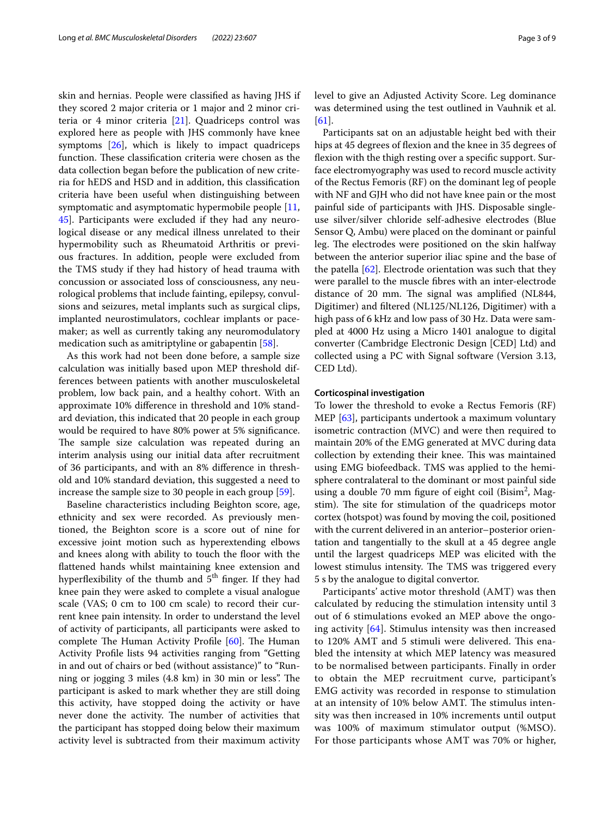skin and hernias. People were classifed as having JHS if they scored 2 major criteria or 1 major and 2 minor criteria or 4 minor criteria [[21](#page-7-40)]. Quadriceps control was explored here as people with JHS commonly have knee symptoms  $[26]$  $[26]$ , which is likely to impact quadriceps function. These classification criteria were chosen as the data collection began before the publication of new criteria for hEDS and HSD and in addition, this classifcation criteria have been useful when distinguishing between symptomatic and asymptomatic hypermobile people [\[11](#page-7-7), [45\]](#page-7-31). Participants were excluded if they had any neurological disease or any medical illness unrelated to their hypermobility such as Rheumatoid Arthritis or previous fractures. In addition, people were excluded from the TMS study if they had history of head trauma with concussion or associated loss of consciousness, any neurological problems that include fainting, epilepsy, convulsions and seizures, metal implants such as surgical clips, implanted neurostimulators, cochlear implants or pacemaker; as well as currently taking any neuromodulatory medication such as amitriptyline or gabapentin [\[58](#page-8-4)].

As this work had not been done before, a sample size calculation was initially based upon MEP threshold differences between patients with another musculoskeletal problem, low back pain, and a healthy cohort. With an approximate 10% diference in threshold and 10% standard deviation, this indicated that 20 people in each group would be required to have 80% power at 5% signifcance. The sample size calculation was repeated during an interim analysis using our initial data after recruitment of 36 participants, and with an 8% diference in threshold and 10% standard deviation, this suggested a need to increase the sample size to 30 people in each group [\[59](#page-8-5)].

Baseline characteristics including Beighton score, age, ethnicity and sex were recorded. As previously mentioned, the Beighton score is a score out of nine for excessive joint motion such as hyperextending elbows and knees along with ability to touch the floor with the fattened hands whilst maintaining knee extension and hyperflexibility of the thumb and  $5<sup>th</sup>$  finger. If they had knee pain they were asked to complete a visual analogue scale (VAS; 0 cm to 100 cm scale) to record their current knee pain intensity. In order to understand the level of activity of participants, all participants were asked to complete The Human Activity Profile [[60](#page-8-6)]. The Human Activity Profle lists 94 activities ranging from "Getting in and out of chairs or bed (without assistance)" to "Running or jogging 3 miles (4.8 km) in 30 min or less". The participant is asked to mark whether they are still doing this activity, have stopped doing the activity or have never done the activity. The number of activities that the participant has stopped doing below their maximum activity level is subtracted from their maximum activity level to give an Adjusted Activity Score. Leg dominance was determined using the test outlined in Vauhnik et al. [[61\]](#page-8-7).

Participants sat on an adjustable height bed with their hips at 45 degrees of flexion and the knee in 35 degrees of fexion with the thigh resting over a specifc support. Surface electromyography was used to record muscle activity of the Rectus Femoris (RF) on the dominant leg of people with NF and GJH who did not have knee pain or the most painful side of participants with JHS. Disposable singleuse silver/silver chloride self-adhesive electrodes (Blue Sensor Q, Ambu) were placed on the dominant or painful leg. The electrodes were positioned on the skin halfway between the anterior superior iliac spine and the base of the patella [\[62](#page-8-8)]. Electrode orientation was such that they were parallel to the muscle fbres with an inter-electrode distance of 20 mm. The signal was amplified (NL844, Digitimer) and fltered (NL125/NL126, Digitimer) with a high pass of 6 kHz and low pass of 30 Hz. Data were sampled at 4000 Hz using a Micro 1401 analogue to digital converter (Cambridge Electronic Design [CED] Ltd) and collected using a PC with Signal software (Version 3.13, CED Ltd).

# **Corticospinal investigation**

To lower the threshold to evoke a Rectus Femoris (RF) MEP [\[63\]](#page-8-9), participants undertook a maximum voluntary isometric contraction (MVC) and were then required to maintain 20% of the EMG generated at MVC during data collection by extending their knee. This was maintained using EMG biofeedback. TMS was applied to the hemisphere contralateral to the dominant or most painful side using a double 70 mm figure of eight coil (Bisim<sup>2</sup>, Magstim). The site for stimulation of the quadriceps motor cortex (hotspot) was found by moving the coil, positioned with the current delivered in an anterior–posterior orientation and tangentially to the skull at a 45 degree angle until the largest quadriceps MEP was elicited with the lowest stimulus intensity. The TMS was triggered every 5 s by the analogue to digital convertor.

Participants' active motor threshold (AMT) was then calculated by reducing the stimulation intensity until 3 out of 6 stimulations evoked an MEP above the ongoing activity [\[64\]](#page-8-10). Stimulus intensity was then increased to 120% AMT and 5 stimuli were delivered. This enabled the intensity at which MEP latency was measured to be normalised between participants. Finally in order to obtain the MEP recruitment curve, participant's EMG activity was recorded in response to stimulation at an intensity of 10% below AMT. The stimulus intensity was then increased in 10% increments until output was 100% of maximum stimulator output (%MSO). For those participants whose AMT was 70% or higher,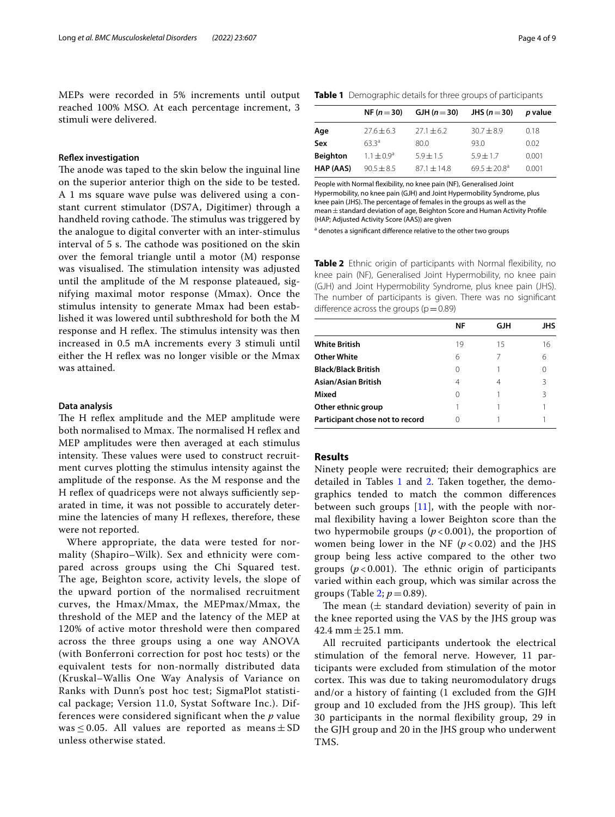MEPs were recorded in 5% increments until output reached 100% MSO. At each percentage increment, 3 stimuli were delivered.

# **Refex investigation**

The anode was taped to the skin below the inguinal line on the superior anterior thigh on the side to be tested. A 1 ms square wave pulse was delivered using a constant current stimulator (DS7A, Digitimer) through a handheld roving cathode. The stimulus was triggered by the analogue to digital converter with an inter-stimulus interval of 5 s. The cathode was positioned on the skin over the femoral triangle until a motor (M) response was visualised. The stimulation intensity was adjusted until the amplitude of the M response plateaued, signifying maximal motor response (Mmax). Once the stimulus intensity to generate Mmax had been established it was lowered until subthreshold for both the M response and H reflex. The stimulus intensity was then increased in 0.5 mA increments every 3 stimuli until either the H refex was no longer visible or the Mmax was attained.

# **Data analysis**

The H reflex amplitude and the MEP amplitude were both normalised to Mmax. The normalised H reflex and MEP amplitudes were then averaged at each stimulus intensity. These values were used to construct recruitment curves plotting the stimulus intensity against the amplitude of the response. As the M response and the H reflex of quadriceps were not always sufficiently separated in time, it was not possible to accurately determine the latencies of many H reflexes, therefore, these were not reported.

Where appropriate, the data were tested for normality (Shapiro–Wilk). Sex and ethnicity were compared across groups using the Chi Squared test. The age, Beighton score, activity levels, the slope of the upward portion of the normalised recruitment curves, the Hmax/Mmax, the MEPmax/Mmax, the threshold of the MEP and the latency of the MEP at 120% of active motor threshold were then compared across the three groups using a one way ANOVA (with Bonferroni correction for post hoc tests) or the equivalent tests for non-normally distributed data (Kruskal–Wallis One Way Analysis of Variance on Ranks with Dunn's post hoc test; SigmaPlot statistical package; Version 11.0, Systat Software Inc.). Differences were considered significant when the *p* value was  $\leq$  0.05. All values are reported as means  $\pm$  SD unless otherwise stated.

<span id="page-3-0"></span>

|                 | NF $(n=30)$     | GJH $(n=30)$    | JHS $(n=30)$               | p value |
|-----------------|-----------------|-----------------|----------------------------|---------|
| Age             | $27.6 \pm 6.3$  | $27.1 \pm 6.2$  | $30.7 \pm 8.9$             | 0.18    |
| Sex             | $633^a$         | 80.0            | 93.0                       | 0.02    |
| <b>Beighton</b> | $1.1 \pm 0.9^a$ | $5.9 + 1.5$     | $5.9 + 1.7$                | 0.001   |
| HAP (AAS)       | $90.5 + 8.5$    | $87.1 \pm 14.8$ | $69.5 + 20.8$ <sup>a</sup> | 0.001   |

People with Normal fexibility, no knee pain (NF), Generalised Joint Hypermobility, no knee pain (GJH) and Joint Hypermobility Syndrome, plus knee pain (JHS). The percentage of females in the groups as well as the mean±standard deviation of age, Beighton Score and Human Activity Profle (HAP; Adjusted Activity Score (AAS)) are given

<sup>a</sup> denotes a significant difference relative to the other two groups

<span id="page-3-1"></span>**Table 2** Ethnic origin of participants with Normal flexibility, no knee pain (NF), Generalised Joint Hypermobility, no knee pain (GJH) and Joint Hypermobility Syndrome, plus knee pain (JHS). The number of participants is given. There was no signifcant difference across the groups ( $p=0.89$ )

|                                 | ΝF | GЈН | JHS |
|---------------------------------|----|-----|-----|
| <b>White British</b>            | 19 | 15  | 16  |
| <b>Other White</b>              | 6  |     | 6   |
| <b>Black/Black British</b>      | 0  |     |     |
| Asian/Asian British             | 4  | 4   | R   |
| Mixed                           | 0  |     | ς   |
| Other ethnic group              |    |     |     |
| Participant chose not to record | Ω  |     |     |

### **Results**

Ninety people were recruited; their demographics are detailed in Tables  $1$  and  $2$ . Taken together, the demographics tended to match the common diferences between such groups  $[11]$ , with the people with normal fexibility having a lower Beighton score than the two hypermobile groups  $(p<0.001)$ , the proportion of women being lower in the NF  $(p<0.02)$  and the JHS group being less active compared to the other two groups  $(p < 0.001)$ . The ethnic origin of participants varied within each group, which was similar across the groups (Table [2](#page-3-1);  $p = 0.89$ ).

The mean ( $\pm$  standard deviation) severity of pain in the knee reported using the VAS by the JHS group was 42.4 mm  $\pm$  25.1 mm.

All recruited participants undertook the electrical stimulation of the femoral nerve. However, 11 participants were excluded from stimulation of the motor cortex. This was due to taking neuromodulatory drugs and/or a history of fainting (1 excluded from the GJH group and 10 excluded from the JHS group). This left 30 participants in the normal fexibility group, 29 in the GJH group and 20 in the JHS group who underwent TMS.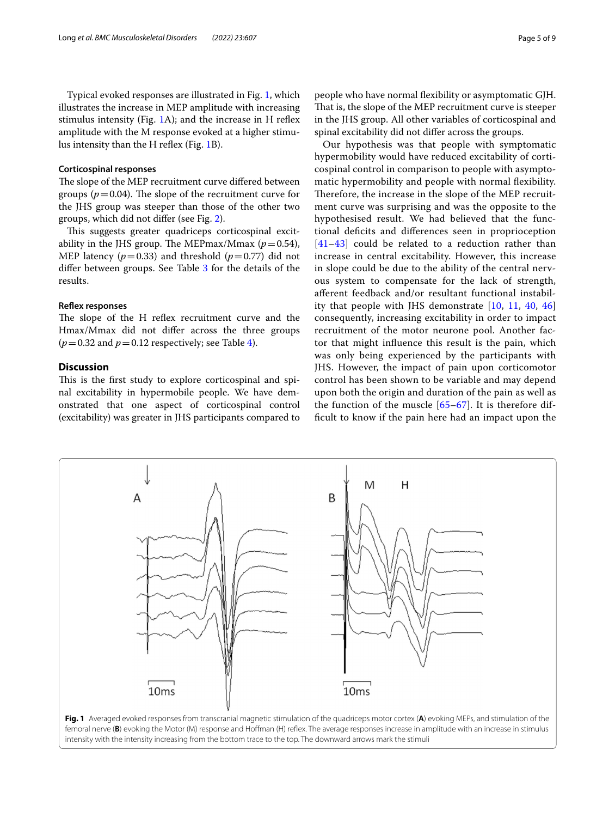Typical evoked responses are illustrated in Fig. [1](#page-4-0), which illustrates the increase in MEP amplitude with increasing stimulus intensity (Fig. [1](#page-4-0)A); and the increase in H reflex amplitude with the M response evoked at a higher stimu-lus intensity than the H reflex (Fig. [1B](#page-4-0)).

# **Corticospinal responses**

The slope of the MEP recruitment curve differed between groups ( $p = 0.04$ ). The slope of the recruitment curve for the JHS group was steeper than those of the other two groups, which did not difer (see Fig. [2\)](#page-5-0).

This suggests greater quadriceps corticospinal excitability in the JHS group. The MEPmax/Mmax  $(p=0.54)$ , MEP latency  $(p=0.33)$  and threshold  $(p=0.77)$  did not difer between groups. See Table [3](#page-5-1) for the details of the results.

# **Refex responses**

The slope of the H reflex recruitment curve and the Hmax/Mmax did not difer across the three groups  $(p=0.32$  and  $p=0.12$  respectively; see Table [4](#page-5-2)).

# **Discussion**

This is the first study to explore corticospinal and spinal excitability in hypermobile people. We have demonstrated that one aspect of corticospinal control (excitability) was greater in JHS participants compared to

people who have normal fexibility or asymptomatic GJH. That is, the slope of the MEP recruitment curve is steeper in the JHS group. All other variables of corticospinal and spinal excitability did not difer across the groups.

Our hypothesis was that people with symptomatic hypermobility would have reduced excitability of corticospinal control in comparison to people with asymptomatic hypermobility and people with normal fexibility. Therefore, the increase in the slope of the MEP recruitment curve was surprising and was the opposite to the hypothesised result. We had believed that the functional defcits and diferences seen in proprioception [[41](#page-7-28)[–43](#page-7-29)] could be related to a reduction rather than increase in central excitability. However, this increase in slope could be due to the ability of the central nervous system to compensate for the lack of strength, aferent feedback and/or resultant functional instability that people with JHS demonstrate [[10,](#page-7-41) [11](#page-7-7), [40,](#page-7-27) [46](#page-7-33)] consequently, increasing excitability in order to impact recruitment of the motor neurone pool. Another factor that might infuence this result is the pain, which was only being experienced by the participants with JHS. However, the impact of pain upon corticomotor control has been shown to be variable and may depend upon both the origin and duration of the pain as well as the function of the muscle [[65](#page-8-11)[–67](#page-8-12)]. It is therefore diffcult to know if the pain here had an impact upon the

<span id="page-4-0"></span>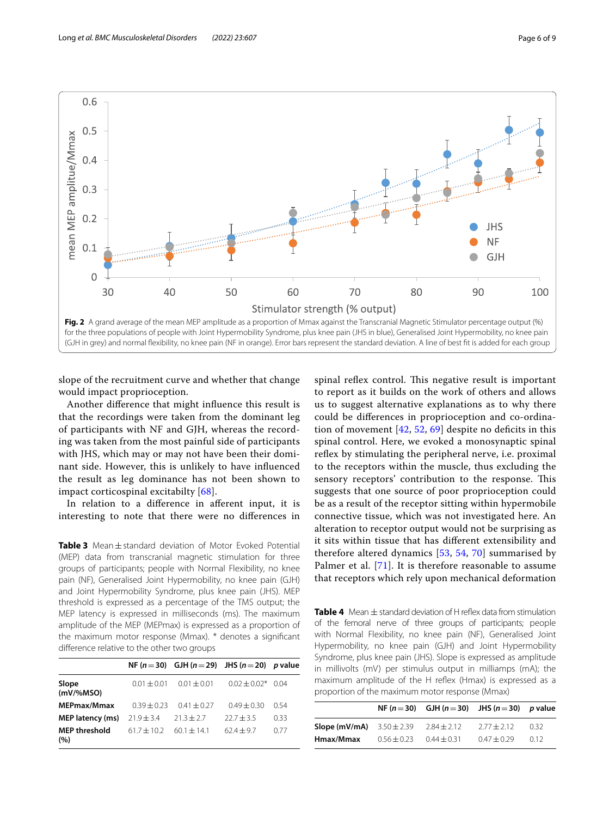

<span id="page-5-0"></span>

slope of the recruitment curve and whether that change would impact proprioception.

Another diference that might infuence this result is that the recordings were taken from the dominant leg of participants with NF and GJH, whereas the recording was taken from the most painful side of participants with JHS, which may or may not have been their dominant side. However, this is unlikely to have infuenced the result as leg dominance has not been shown to impact corticospinal excitabilty [[68\]](#page-8-13).

In relation to a diference in aferent input, it is interesting to note that there were no diferences in

<span id="page-5-1"></span>**Table 3** Mean±standard deviation of Motor Evoked Potential (MEP) data from transcranial magnetic stimulation for three groups of participants; people with Normal Flexibility, no knee pain (NF), Generalised Joint Hypermobility, no knee pain (GJH) and Joint Hypermobility Syndrome, plus knee pain (JHS). MEP threshold is expressed as a percentage of the TMS output; the MEP latency is expressed in milliseconds (ms). The maximum amplitude of the MEP (MEPmax) is expressed as a proportion of the maximum motor response (Mmax). \* denotes a signifcant diference relative to the other two groups

|                             |                 | NF $(n=30)$ GJH $(n=29)$ JHS $(n=20)$ p value |                      |      |
|-----------------------------|-----------------|-----------------------------------------------|----------------------|------|
| Slope<br>$(mV/\%MSO)$       | $0.01 \pm 0.01$ | $0.01 + 0.01$                                 | $0.02 + 0.02$ $0.04$ |      |
| MEPmax/Mmax                 | $0.39 + 0.23$   | $0.41 \pm 0.27$                               | $0.49 \pm 0.30$      | 0.54 |
| <b>MEP latency (ms)</b>     | $21.9 \pm 3.4$  | $21.3 + 2.7$                                  | $22.7 + 3.5$         | 0.33 |
| <b>MEP threshold</b><br>(%) | $61.7 + 10.2$   | $60.1 \pm 14.1$                               | $62.4 \pm 9.7$       | 0.77 |

spinal reflex control. This negative result is important to report as it builds on the work of others and allows us to suggest alternative explanations as to why there could be diferences in proprioception and co-ordination of movement  $[42, 52, 69]$  $[42, 52, 69]$  $[42, 52, 69]$  $[42, 52, 69]$  $[42, 52, 69]$  despite no deficits in this spinal control. Here, we evoked a monosynaptic spinal reflex by stimulating the peripheral nerve, i.e. proximal to the receptors within the muscle, thus excluding the sensory receptors' contribution to the response. This suggests that one source of poor proprioception could be as a result of the receptor sitting within hypermobile connective tissue, which was not investigated here. An alteration to receptor output would not be surprising as it sits within tissue that has diferent extensibility and therefore altered dynamics [[53,](#page-7-39) [54,](#page-8-0) [70](#page-8-15)] summarised by Palmer et al. [[71\]](#page-8-16). It is therefore reasonable to assume that receptors which rely upon mechanical deformation

<span id="page-5-2"></span>**Table 4** Mean ± standard deviation of H refex data from stimulation of the femoral nerve of three groups of participants; people with Normal Flexibility, no knee pain (NF), Generalised Joint Hypermobility, no knee pain (GJH) and Joint Hypermobility Syndrome, plus knee pain (JHS). Slope is expressed as amplitude in millivolts (mV) per stimulus output in milliamps (mA); the maximum amplitude of the H refex (Hmax) is expressed as a proportion of the maximum motor response (Mmax)

|               |                 | NF $(n=30)$ GJH $(n=30)$ JHS $(n=30)$ p value |                 |      |
|---------------|-----------------|-----------------------------------------------|-----------------|------|
| Slope (mV/mA) | $3.50 \pm 2.39$ | $2.84 \pm 2.12$                               | $2.77 \pm 2.12$ | 032  |
| Hmax/Mmax     | $0.56 \pm 0.23$ | $0.44 \pm 0.31$                               | $0.47 + 0.29$   | 0.12 |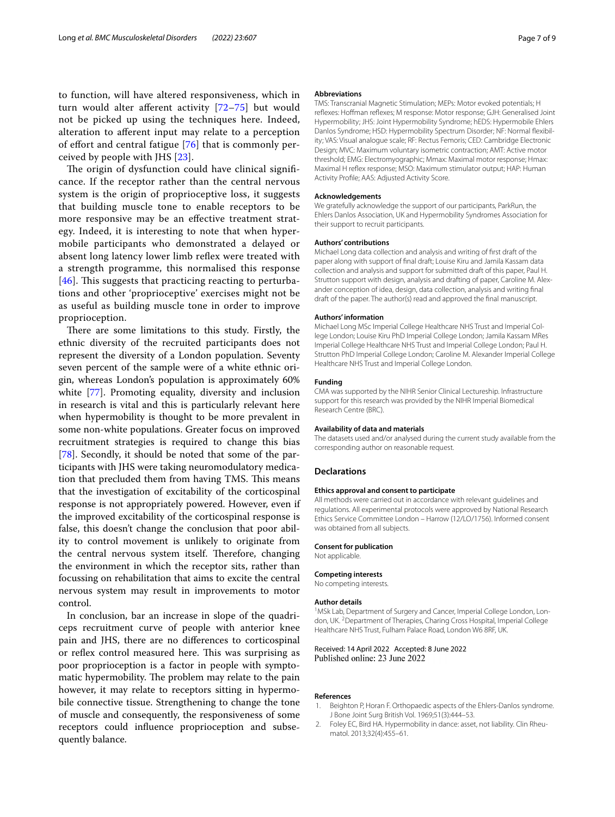to function, will have altered responsiveness, which in turn would alter aferent activity [\[72](#page-8-17)[–75](#page-8-18)] but would not be picked up using the techniques here. Indeed, alteration to aferent input may relate to a perception of effort and central fatigue [[76\]](#page-8-19) that is commonly perceived by people with JHS [[23](#page-7-13)].

The origin of dysfunction could have clinical significance. If the receptor rather than the central nervous system is the origin of proprioceptive loss, it suggests that building muscle tone to enable receptors to be more responsive may be an efective treatment strategy. Indeed, it is interesting to note that when hypermobile participants who demonstrated a delayed or absent long latency lower limb refex were treated with a strength programme, this normalised this response  $[46]$  $[46]$  $[46]$ . This suggests that practicing reacting to perturbations and other 'proprioceptive' exercises might not be as useful as building muscle tone in order to improve proprioception.

There are some limitations to this study. Firstly, the ethnic diversity of the recruited participants does not represent the diversity of a London population. Seventy seven percent of the sample were of a white ethnic origin, whereas London's population is approximately 60% white [\[77\]](#page-8-20). Promoting equality, diversity and inclusion in research is vital and this is particularly relevant here when hypermobility is thought to be more prevalent in some non-white populations. Greater focus on improved recruitment strategies is required to change this bias [[78\]](#page-8-21). Secondly, it should be noted that some of the participants with JHS were taking neuromodulatory medication that precluded them from having TMS. This means that the investigation of excitability of the corticospinal response is not appropriately powered. However, even if the improved excitability of the corticospinal response is false, this doesn't change the conclusion that poor ability to control movement is unlikely to originate from the central nervous system itself. Therefore, changing the environment in which the receptor sits, rather than focussing on rehabilitation that aims to excite the central nervous system may result in improvements to motor control.

In conclusion, bar an increase in slope of the quadriceps recruitment curve of people with anterior knee pain and JHS, there are no diferences to corticospinal or reflex control measured here. This was surprising as poor proprioception is a factor in people with symptomatic hypermobility. The problem may relate to the pain however, it may relate to receptors sitting in hypermobile connective tissue. Strengthening to change the tone of muscle and consequently, the responsiveness of some receptors could infuence proprioception and subsequently balance.

### **Abbreviations**

TMS: Transcranial Magnetic Stimulation; MEPs: Motor evoked potentials; H refexes: Hofman refexes; M response: Motor response; GJH: Generalised Joint Hypermobility; JHS: Joint Hypermobility Syndrome; hEDS: Hypermobile Ehlers Danlos Syndrome; HSD: Hypermobility Spectrum Disorder; NF: Normal fexibility; VAS: Visual analogue scale; RF: Rectus Femoris; CED: Cambridge Electronic Design; MVC: Maximum voluntary isometric contraction; AMT: Active motor threshold; EMG: Electromyographic; Mmax: Maximal motor response; Hmax: Maximal H refex response; MSO: Maximum stimulator output; HAP: Human Activity Profle; AAS: Adjusted Activity Score.

### **Acknowledgements**

We gratefully acknowledge the support of our participants, ParkRun, the Ehlers Danlos Association, UK and Hypermobility Syndromes Association for their support to recruit participants.

### **Authors' contributions**

Michael Long data collection and analysis and writing of frst draft of the paper along with support of fnal draft; Louise Kiru and Jamila Kassam data collection and analysis and support for submitted draft of this paper, Paul H. Strutton support with design, analysis and drafting of paper, Caroline M. Alexander conception of idea, design, data collection, analysis and writing fnal draft of the paper. The author(s) read and approved the fnal manuscript.

#### **Authors' information**

Michael Long MSc Imperial College Healthcare NHS Trust and Imperial College London; Louise Kiru PhD Imperial College London; Jamila Kassam MRes Imperial College Healthcare NHS Trust and Imperial College London; Paul H. Strutton PhD Imperial College London; Caroline M. Alexander Imperial College Healthcare NHS Trust and Imperial College London.

#### **Funding**

CMA was supported by the NIHR Senior Clinical Lectureship. Infrastructure support for this research was provided by the NIHR Imperial Biomedical Research Centre (BRC).

#### **Availability of data and materials**

The datasets used and/or analysed during the current study available from the corresponding author on reasonable request.

#### **Declarations**

# **Ethics approval and consent to participate**

All methods were carried out in accordance with relevant guidelines and regulations. All experimental protocols were approved by National Research Ethics Service Committee London – Harrow (12/LO/1756). Informed consent was obtained from all subjects.

#### **Consent for publication** Not applicable.

# **Competing interests**

No competing interests.

# **Author details**

<sup>1</sup> MSk Lab, Department of Surgery and Cancer, Imperial College London, London, UK.<sup>2</sup> Department of Therapies, Charing Cross Hospital, Imperial College Healthcare NHS Trust, Fulham Palace Road, London W6 8RF, UK.

# Received: 14 April 2022 Accepted: 8 June 2022 Published online: 23 June 2022

#### **References**

- <span id="page-6-0"></span>1. Beighton P, Horan F. Orthopaedic aspects of the Ehlers-Danlos syndrome. J Bone Joint Surg British Vol. 1969;51(3):444–53.
- 2. Foley EC, Bird HA. Hypermobility in dance: asset, not liability. Clin Rheumatol. 2013;32(4):455–61.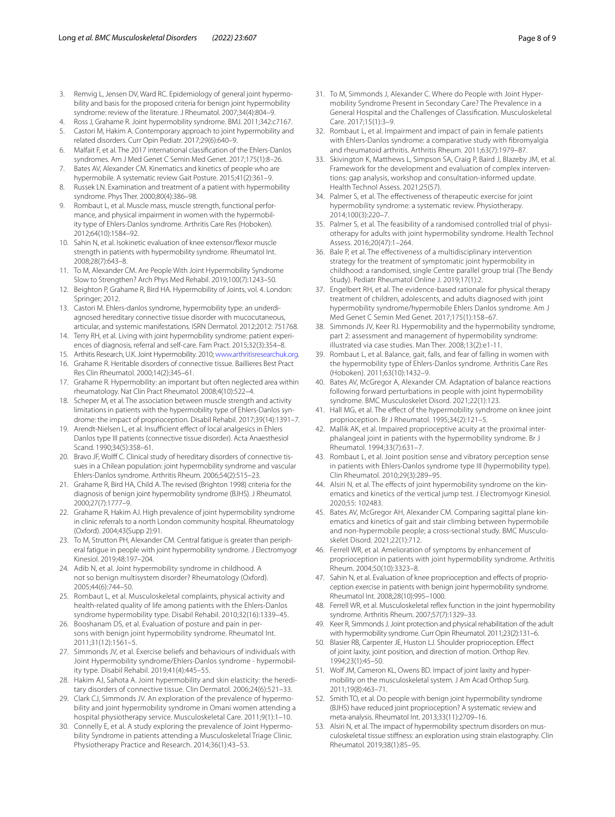- <span id="page-7-0"></span>3. Remvig L, Jensen DV, Ward RC. Epidemiology of general joint hypermobility and basis for the proposed criteria for benign joint hypermobility syndrome: review of the literature. J Rheumatol. 2007;34(4):804–9.
- <span id="page-7-1"></span>4. Ross J, Grahame R. Joint hypermobility syndrome. BMJ. 2011;342:c7167.
- <span id="page-7-2"></span>5. Castori M, Hakim A. Contemporary approach to joint hypermobility and related disorders. Curr Opin Pediatr. 2017;29(6):640–9.
- <span id="page-7-3"></span>6. Malfait F, et al. The 2017 international classifcation of the Ehlers-Danlos syndromes. Am J Med Genet C Semin Med Genet. 2017;175(1):8–26.
- <span id="page-7-4"></span>7. Bates AV, Alexander CM. Kinematics and kinetics of people who are hypermobile. A systematic review Gait Posture. 2015;41(2):361–9.
- <span id="page-7-5"></span>8. Russek LN. Examination and treatment of a patient with hypermobility syndrome. Phys Ther. 2000;80(4):386–98.
- <span id="page-7-6"></span>9. Rombaut L, et al. Muscle mass, muscle strength, functional performance, and physical impairment in women with the hypermobility type of Ehlers-Danlos syndrome. Arthritis Care Res (Hoboken). 2012;64(10):1584–92.
- <span id="page-7-41"></span>10. Sahin N, et al. Isokinetic evaluation of knee extensor/flexor muscle strength in patients with hypermobility syndrome. Rheumatol Int. 2008;28(7):643–8.
- <span id="page-7-7"></span>11. To M, Alexander CM. Are People With Joint Hypermobility Syndrome Slow to Strengthen? Arch Phys Med Rehabil. 2019;100(7):1243–50.
- <span id="page-7-8"></span>12. Beighton P, Grahame R, Bird HA. Hypermobility of Joints, vol. 4. London: Springer; 2012.
- 13. Castori M. Ehlers-danlos syndrome, hypermobility type: an underdiagnosed hereditary connective tissue disorder with mucocutaneous, articular, and systemic manifestations. ISRN Dermatol. 2012;2012: 751768.
- <span id="page-7-9"></span>14. Terry RH, et al. Living with joint hypermobility syndrome: patient experiences of diagnosis, referral and self-care. Fam Pract. 2015;32(3):354–8.
- <span id="page-7-12"></span><span id="page-7-10"></span>15. Arthitis Research, U.K. Joint Hypermobility. 2010; [www.arthritisresearchuk.org.](http://www.arthritisresearchuk.org) 16. Grahame R. Heritable disorders of connective tissue. Baillieres Best Pract
- <span id="page-7-18"></span>Res Clin Rheumatol. 2000;14(2):345–61. 17. Grahame R. Hypermobility: an important but often neglected area within
- <span id="page-7-11"></span>rheumatology. Nat Clin Pract Rheumatol. 2008;4(10):522–4. 18. Scheper M, et al. The association between muscle strength and activity limitations in patients with the hypermobility type of Ehlers-Danlos syn-
- drome: the impact of proprioception. Disabil Rehabil. 2017;39(14):1391–7. 19. Arendt-Nielsen L, et al. Insufficient effect of local analgesics in Ehlers
- Danlos type III patients (connective tissue disorder). Acta Anaesthesiol Scand. 1990;34(5):358–61.
- 20. Bravo JF, Wolff C. Clinical study of hereditary disorders of connective tissues in a Chilean population: joint hypermobility syndrome and vascular Ehlers-Danlos syndrome. Arthritis Rheum. 2006;54(2):515–23.
- <span id="page-7-40"></span>21. Grahame R, Bird HA, Child A. The revised (Brighton 1998) criteria for the diagnosis of benign joint hypermobility syndrome (BJHS). J Rheumatol. 2000;27(7):1777–9.
- 22. Grahame R, Hakim AJ. High prevalence of joint hypermobility syndrome in clinic referrals to a north London community hospital. Rheumatology (Oxford). 2004;43(Supp 2):91.
- <span id="page-7-13"></span>23. To M, Strutton PH, Alexander CM. Central fatigue is greater than peripheral fatigue in people with joint hypermobility syndrome. J Electromyogr Kinesiol. 2019;48:197–204.
- <span id="page-7-14"></span>24. Adib N, et al. Joint hypermobility syndrome in childhood. A not so benign multisystem disorder? Rheumatology (Oxford). 2005;44(6):744–50.
- <span id="page-7-15"></span>25. Rombaut L, et al. Musculoskeletal complaints, physical activity and health-related quality of life among patients with the Ehlers-Danlos syndrome hypermobility type. Disabil Rehabil. 2010;32(16):1339–45.
- <span id="page-7-16"></span>26. Booshanam DS, et al. Evaluation of posture and pain in persons with benign joint hypermobility syndrome. Rheumatol Int. 2011;31(12):1561–5.
- <span id="page-7-17"></span>27. Simmonds JV, et al. Exercise beliefs and behaviours of individuals with Joint Hypermobility syndrome/Ehlers-Danlos syndrome - hypermobility type. Disabil Rehabil. 2019;41(4):445–55.
- <span id="page-7-19"></span>28. Hakim AJ, Sahota A. Joint hypermobility and skin elasticity: the hereditary disorders of connective tissue. Clin Dermatol. 2006;24(6):521–33.
- <span id="page-7-20"></span>29. Clark CJ, Simmonds JV. An exploration of the prevalence of hypermobility and joint hypermobility syndrome in Omani women attending a hospital physiotherapy service. Musculoskeletal Care. 2011;9(1):1–10.
- 30. Connelly E, et al. A study exploring the prevalence of Joint Hypermobility Syndrome in patients attending a Musculoskeletal Triage Clinic. Physiotherapy Practice and Research. 2014;36(1):43–53.
- 31. To M, Simmonds J, Alexander C. Where do People with Joint Hypermobility Syndrome Present in Secondary Care? The Prevalence in a General Hospital and the Challenges of Classifcation. Musculoskeletal Care. 2017;15(1):3–9.
- <span id="page-7-21"></span>32. Rombaut L, et al. Impairment and impact of pain in female patients with Ehlers-Danlos syndrome: a comparative study with fbromyalgia and rheumatoid arthritis. Arthritis Rheum. 2011;63(7):1979–87.
- <span id="page-7-22"></span>33. Skivington K, Matthews L, Simpson SA, Craig P, Baird J, Blazeby JM, et al. Framework for the development and evaluation of complex interventions: gap analysis, workshop and consultation-informed update. Health Technol Assess. 2021;25(57).
- 34. Palmer S, et al. The efectiveness of therapeutic exercise for joint hypermobility syndrome: a systematic review. Physiotherapy. 2014;100(3):220–7.
- 35. Palmer S, et al. The feasibility of a randomised controlled trial of physiotherapy for adults with joint hypermobility syndrome. Health Technol Assess. 2016;20(47):1–264.
- <span id="page-7-23"></span>36. Bale P, et al. The efectiveness of a multidisciplinary intervention strategy for the treatment of symptomatic joint hypermobility in childhood: a randomised, single Centre parallel group trial (The Bendy Study). Pediatr Rheumatol Online J. 2019;17(1):2.
- <span id="page-7-24"></span>37. Engelbert RH, et al. The evidence-based rationale for physical therapy treatment of children, adolescents, and adults diagnosed with joint hypermobility syndrome/hypermobile Ehlers Danlos syndrome. Am J Med Genet C Semin Med Genet. 2017;175(1):158–67.
- <span id="page-7-25"></span>38. Simmonds JV, Keer RJ. Hypermobility and the hypermobility syndrome, part 2: assessment and management of hypermobility syndrome: illustrated via case studies. Man Ther. 2008;13(2):e1-11.
- <span id="page-7-26"></span>39. Rombaut L, et al. Balance, gait, falls, and fear of falling in women with the hypermobility type of Ehlers-Danlos syndrome. Arthritis Care Res (Hoboken). 2011;63(10):1432–9.
- <span id="page-7-27"></span>40. Bates AV, McGregor A, Alexander CM. Adaptation of balance reactions following forward perturbations in people with joint hypermobility syndrome. BMC Musculoskelet Disord. 2021;22(1):123.
- <span id="page-7-28"></span>41. Hall MG, et al. The effect of the hypermobility syndrome on knee joint proprioception. Br J Rheumatol. 1995;34(2):121–5.
- <span id="page-7-32"></span>42. Mallik AK, et al. Impaired proprioceptive acuity at the proximal interphalangeal joint in patients with the hypermobility syndrome. Br J Rheumatol. 1994;33(7):631–7.
- <span id="page-7-29"></span>43. Rombaut L, et al. Joint position sense and vibratory perception sense in patients with Ehlers-Danlos syndrome type III (hypermobility type). Clin Rheumatol. 2010;29(3):289–95.
- <span id="page-7-30"></span>44. Alsiri N, et al. The effects of joint hypermobility syndrome on the kinematics and kinetics of the vertical jump test. J Electromyogr Kinesiol. 2020;55: 102483.
- <span id="page-7-31"></span>45. Bates AV, McGregor AH, Alexander CM. Comparing sagittal plane kinematics and kinetics of gait and stair climbing between hypermobile and non-hypermobile people; a cross-sectional study. BMC Musculoskelet Disord. 2021;22(1):712.
- <span id="page-7-33"></span>46. Ferrell WR, et al. Amelioration of symptoms by enhancement of proprioception in patients with joint hypermobility syndrome. Arthritis Rheum. 2004;50(10):3323–8.
- <span id="page-7-34"></span>47. Sahin N, et al. Evaluation of knee proprioception and effects of proprioception exercise in patients with benign joint hypermobility syndrome. Rheumatol Int. 2008;28(10):995–1000.
- <span id="page-7-35"></span>48. Ferrell WR, et al. Musculoskeletal refex function in the joint hypermobility syndrome. Arthritis Rheum. 2007;57(7):1329–33.
- <span id="page-7-36"></span>49. Keer R, Simmonds J. Joint protection and physical rehabilitation of the adult with hypermobility syndrome. Curr Opin Rheumatol. 2011;23(2):131–6.
- <span id="page-7-37"></span>50. Blasier RB, Carpenter JE, Huston LJ. Shoulder proprioception. Efect of joint laxity, joint position, and direction of motion. Orthop Rev. 1994;23(1):45–50.
- 51. Wolf JM, Cameron KL, Owens BD. Impact of joint laxity and hypermobility on the musculoskeletal system. J Am Acad Orthop Surg. 2011;19(8):463–71.
- <span id="page-7-38"></span>52. Smith TO, et al. Do people with benign joint hypermobility syndrome (BJHS) have reduced joint proprioception? A systematic review and meta-analysis. Rheumatol Int. 2013;33(11):2709–16.
- <span id="page-7-39"></span>53. Alsiri N, et al. The impact of hypermobility spectrum disorders on musculoskeletal tissue stifness: an exploration using strain elastography. Clin Rheumatol. 2019;38(1):85–95.